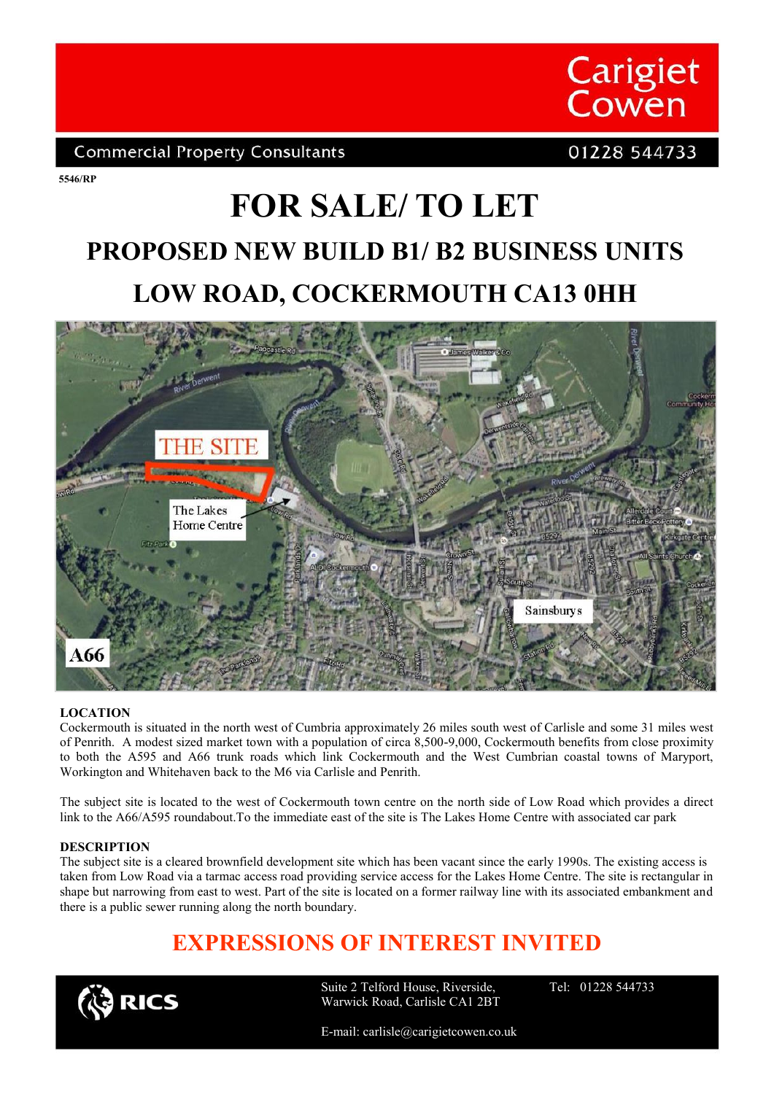

### **Commercial Property Consultants**

## 01228 544733

**5546/RP**

# **FOR SALE/ TO LET PROPOSED NEW BUILD B1/ B2 BUSINESS UNITS LOW ROAD, COCKERMOUTH CA13 0HH**



#### **LOCATION**

Cockermouth is situated in the north west of Cumbria approximately 26 miles south west of Carlisle and some 31 miles west of Penrith. A modest sized market town with a population of circa 8,500-9,000, Cockermouth benefits from close proximity to both the A595 and A66 trunk roads which link Cockermouth and the West Cumbrian coastal towns of Maryport, Workington and Whitehaven back to the M6 via Carlisle and Penrith.

The subject site is located to the west of Cockermouth town centre on the north side of Low Road which provides a direct link to the A66/A595 roundabout.To the immediate east of the site is The Lakes Home Centre with associated car park

#### **DESCRIPTION**

The subject site is a cleared brownfield development site which has been vacant since the early 1990s. The existing access is taken from Low Road via a tarmac access road providing service access for the Lakes Home Centre. The site is rectangular in shape but narrowing from east to west. Part of the site is located on a former railway line with its associated embankment and there is a public sewer running along the north boundary.

# **EXPRESSIONS OF INTEREST INVITED**



Suite 2 Telford House, Riverside, Warwick Road, Carlisle CA1 2BT Tel: 01228 544733

E-mail: carlisle@carigietcowen.co.uk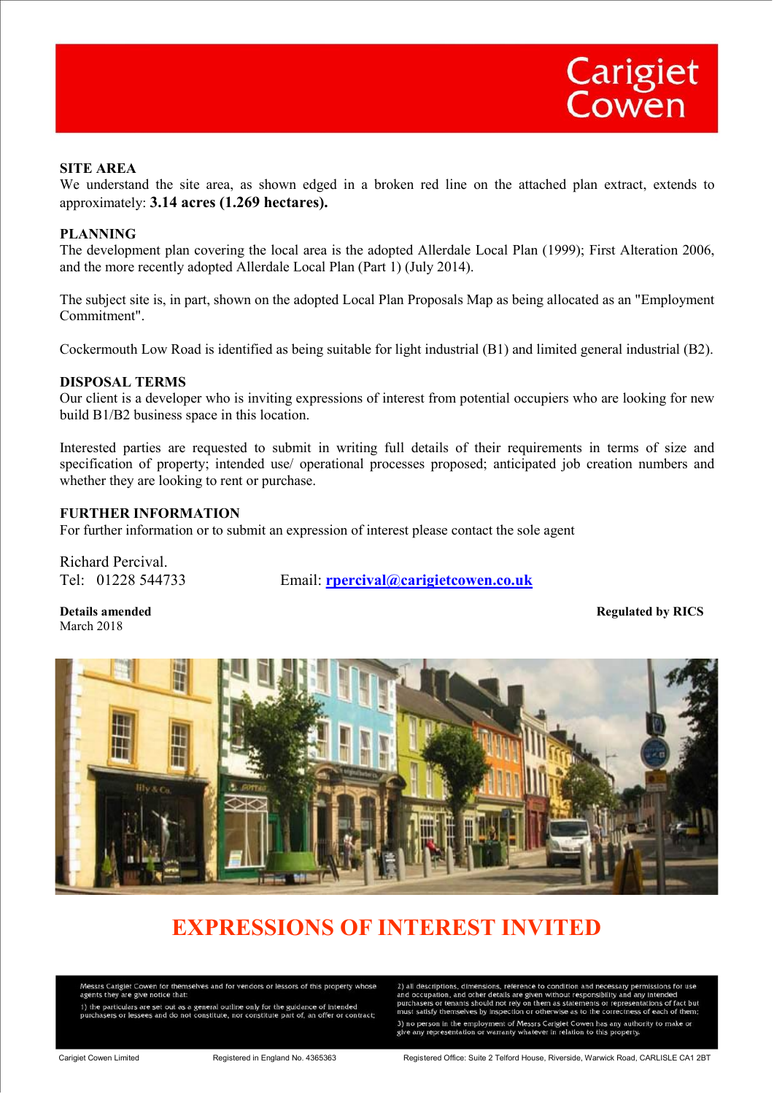#### **SITE AREA**

We understand the site area, as shown edged in a broken red line on the attached plan extract, extends to approximately: **3.14 acres (1.269 hectares).**

#### **PLANNING**

The development plan covering the local area is the adopted Allerdale Local Plan (1999); First Alteration 2006, and the more recently adopted Allerdale Local Plan (Part 1) (July 2014).

The subject site is, in part, shown on the adopted Local Plan Proposals Map as being allocated as an "Employment Commitment".

Cockermouth Low Road is identified as being suitable for light industrial (B1) and limited general industrial (B2).

#### **DISPOSAL TERMS**

Our client is a developer who is inviting expressions of interest from potential occupiers who are looking for new build B1/B2 business space in this location.

Interested parties are requested to submit in writing full details of their requirements in terms of size and specification of property; intended use/ operational processes proposed; anticipated job creation numbers and whether they are looking to rent or purchase.

#### **FURTHER INFORMATION**

For further information or to submit an expression of interest please contact the sole agent

Richard Percival.

Tel: 01228 544733 Email: **rpercival@carigietcowen.co.uk**

March 2018

**Details amended** Regulated by RICS **Regulated by RICS** 



## **EXPRESSIONS OF INTEREST INVITED**

Messrs Cariglet Cowen for themselves and for vendors or lessors of this property whose<br>agents they are give notice that:

1) the particulars are set out as a general outline only for the guidance of intended<br>purchasers or lessees and do not constitute, nor constitute part of, an offer or contract;

2) all descriptions, dimensions, reference to condition and necessary permissions for use<br>and occupation, and other details are given without responsibility and any intended<br>purchasers or tenants should not rely on them as must satisfy themselves by inspection or otherwise as to the correctness of each of the 3) no person in the employment of Messrs Cariglet Cowen has any authority to make or give any representation or warranty whatever in relation to this property.